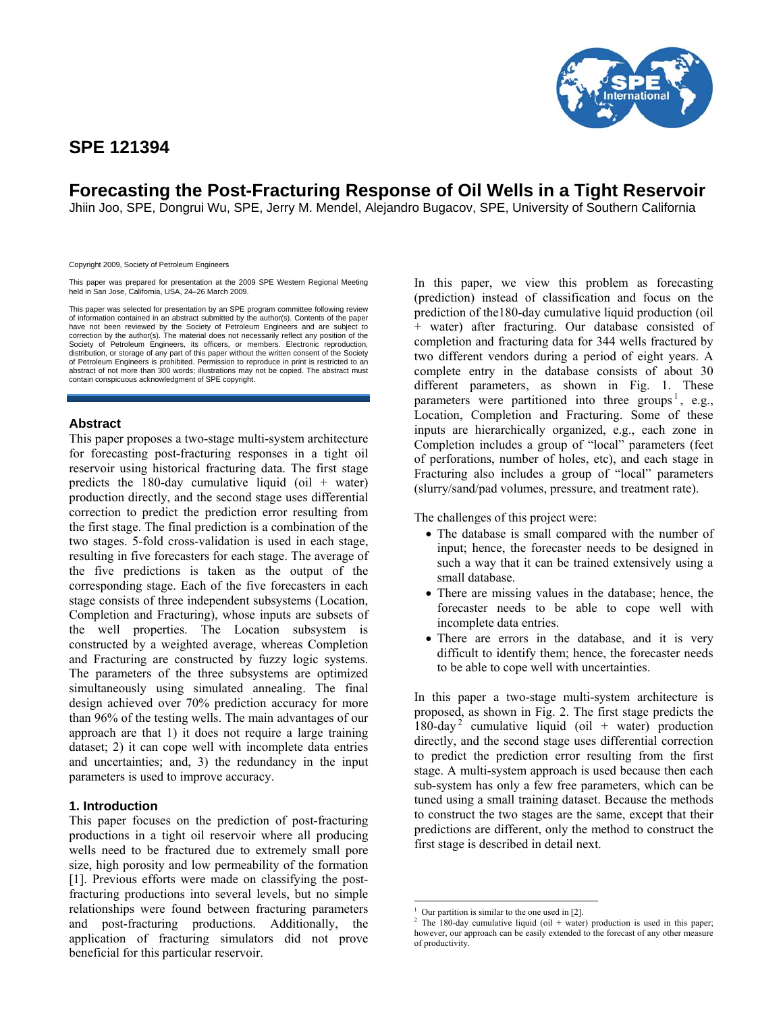## **SPE 121394**



# **Forecasting the Post-Fracturing Response of Oil Wells in a Tight Reservoir**

Jhiin Joo, SPE, Dongrui Wu, SPE, Jerry M. Mendel, Alejandro Bugacov, SPE, University of Southern California

Copyright 2009, Society of Petroleum Engineers

This paper was prepared for presentation at the 2009 SPE Western Regional Meeting held in San Jose, California, USA, 24–26 March 2009.

This paper was selected for presentation by an SPE program committee following review of information contained in an abstract submitted by the author(s). Contents of the paper have not been reviewed by the Society of Petroleum Engineers and are subject to correction by the author(s). The material does not necessarily reflect any position of the Society of Petroleum Engineers, its officers, or members. Electronic reproduction, distribution, or storage of any part of this paper without the written consent of the Society of Petroleum Engineers is prohibited. Permission to reproduce in print is restricted to an abstract of not more than 300 words; illustrations may not be copied. The abstract must contain conspicuous acknowledgment of SPE copyright.

## **Abstract**

This paper proposes a two-stage multi-system architecture for forecasting post-fracturing responses in a tight oil reservoir using historical fracturing data. The first stage predicts the 180-day cumulative liquid (oil  $+$  water) production directly, and the second stage uses differential correction to predict the prediction error resulting from the first stage. The final prediction is a combination of the two stages. 5-fold cross-validation is used in each stage, resulting in five forecasters for each stage. The average of the five predictions is taken as the output of the corresponding stage. Each of the five forecasters in each stage consists of three independent subsystems (Location, Completion and Fracturing), whose inputs are subsets of the well properties. The Location subsystem is constructed by a weighted average, whereas Completion and Fracturing are constructed by fuzzy logic systems. The parameters of the three subsystems are optimized simultaneously using simulated annealing. The final design achieved over 70% prediction accuracy for more than 96% of the testing wells. The main advantages of our approach are that 1) it does not require a large training dataset; 2) it can cope well with incomplete data entries and uncertainties; and, 3) the redundancy in the input parameters is used to improve accuracy.

## **1. Introduction**

This paper focuses on the prediction of post-fracturing productions in a tight oil reservoir where all producing wells need to be fractured due to extremely small pore size, high porosity and low permeability of the formation [1]. Previous efforts were made on classifying the postfracturing productions into several levels, but no simple relationships were found between fracturing parameters and post-fracturing productions. Additionally, the application of fracturing simulators did not prove beneficial for this particular reservoir.

In this paper, we view this problem as forecasting (prediction) instead of classification and focus on the prediction of the180-day cumulative liquid production (oil + water) after fracturing. Our database consisted of completion and fracturing data for 344 wells fractured by two different vendors during a period of eight years. A complete entry in the database consists of about 30 different parameters, as shown in Fig. 1. These parameters were partitioned into three groups<sup>1</sup>, e.g., Location, Completion and Fracturing. Some of these inputs are hierarchically organized, e.g., each zone in Completion includes a group of "local" parameters (feet of perforations, number of holes, etc), and each stage in Fracturing also includes a group of "local" parameters (slurry/sand/pad volumes, pressure, and treatment rate).

The challenges of this project were:

- The database is small compared with the number of input; hence, the forecaster needs to be designed in such a way that it can be trained extensively using a small database.
- There are missing values in the database; hence, the forecaster needs to be able to cope well with incomplete data entries.
- There are errors in the database, and it is very difficult to identify them; hence, the forecaster needs to be able to cope well with uncertainties.

In this paper a two-stage multi-system architecture is proposed, as shown in Fig. 2. The first stage predicts the 180-day<sup>2</sup> cumulative liquid (oil + water) production directly, and the second stage uses differential correction to predict the prediction error resulting from the first stage. A multi-system approach is used because then each sub-system has only a few free parameters, which can be tuned using a small training dataset. Because the methods to construct the two stages are the same, except that their predictions are different, only the method to construct the first stage is described in detail next.

 $\overline{\phantom{a}}$ 1 Our partition is similar to the one used in [2].

The 180-day cumulative liquid (oil + water) production is used in this paper; however, our approach can be easily extended to the forecast of any other measure of productivity.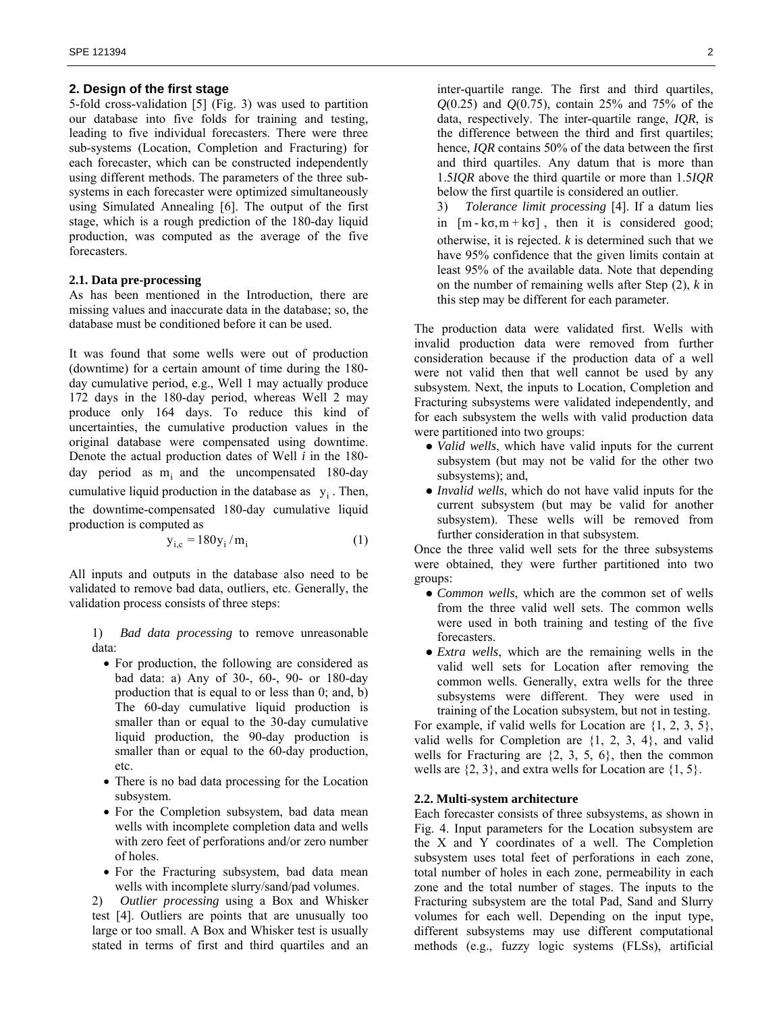#### **2. Design of the first stage**

5-fold cross-validation [5] (Fig. 3) was used to partition our database into five folds for training and testing, leading to five individual forecasters. There were three sub-systems (Location, Completion and Fracturing) for each forecaster, which can be constructed independently using different methods. The parameters of the three subsystems in each forecaster were optimized simultaneously using Simulated Annealing [6]. The output of the first stage, which is a rough prediction of the 180-day liquid production, was computed as the average of the five forecasters.

## **2.1. Data pre-processing**

As has been mentioned in the Introduction, there are missing values and inaccurate data in the database; so, the database must be conditioned before it can be used.

It was found that some wells were out of production (downtime) for a certain amount of time during the 180 day cumulative period, e.g., Well 1 may actually produce 172 days in the 180-day period, whereas Well 2 may produce only 164 days. To reduce this kind of uncertainties, the cumulative production values in the original database were compensated using downtime. Denote the actual production dates of Well *i* in the 180 day period as  $m_i$  and the uncompensated 180-day cumulative liquid production in the database as  $y_i$ . Then, the downtime-compensated 180-day cumulative liquid production is computed as

$$
y_{i,c} = 180y_i/m_i
$$
 (1)

All inputs and outputs in the database also need to be validated to remove bad data, outliers, etc. Generally, the validation process consists of three steps:

1) *Bad data processing* to remove unreasonable data:

- For production, the following are considered as bad data: a) Any of 30-, 60-, 90- or 180-day production that is equal to or less than 0; and, b) The 60-day cumulative liquid production is smaller than or equal to the 30-day cumulative liquid production, the 90-day production is smaller than or equal to the 60-day production, etc.
- There is no bad data processing for the Location subsystem.
- For the Completion subsystem, bad data mean wells with incomplete completion data and wells with zero feet of perforations and/or zero number of holes.
- For the Fracturing subsystem, bad data mean wells with incomplete slurry/sand/pad volumes.

2) *Outlier processing* using a Box and Whisker test [4]. Outliers are points that are unusually too large or too small. A Box and Whisker test is usually stated in terms of first and third quartiles and an inter-quartile range. The first and third quartiles, *Q*(0.25) and *Q*(0.75), contain 25% and 75% of the data, respectively. The inter-quartile range, *IQR*, is the difference between the third and first quartiles; hence, *IQR* contains 50% of the data between the first and third quartiles. Any datum that is more than 1.5*IQR* above the third quartile or more than 1.5*IQR*  below the first quartile is considered an outlier.

3) *Tolerance limit processing* [4]. If a datum lies in  $[m - k\sigma, m + k\sigma]$ , then it is considered good; otherwise, it is rejected. *k* is determined such that we have 95% confidence that the given limits contain at least 95% of the available data. Note that depending on the number of remaining wells after Step (2), *k* in this step may be different for each parameter.

The production data were validated first. Wells with invalid production data were removed from further consideration because if the production data of a well were not valid then that well cannot be used by any subsystem. Next, the inputs to Location, Completion and Fracturing subsystems were validated independently, and for each subsystem the wells with valid production data were partitioned into two groups:

- *Valid wells*, which have valid inputs for the current subsystem (but may not be valid for the other two subsystems); and,
- *Invalid wells*, which do not have valid inputs for the current subsystem (but may be valid for another subsystem). These wells will be removed from further consideration in that subsystem.

Once the three valid well sets for the three subsystems were obtained, they were further partitioned into two groups:

- *Common wells*, which are the common set of wells from the three valid well sets. The common wells were used in both training and testing of the five forecasters.
- *Extra wells*, which are the remaining wells in the valid well sets for Location after removing the common wells. Generally, extra wells for the three subsystems were different. They were used in training of the Location subsystem, but not in testing.

For example, if valid wells for Location are {1, 2, 3, 5}, valid wells for Completion are {1, 2, 3, 4}, and valid wells for Fracturing are  $\{2, 3, 5, 6\}$ , then the common wells are  $\{2, 3\}$ , and extra wells for Location are  $\{1, 5\}$ .

## **2.2. Multi-system architecture**

Each forecaster consists of three subsystems, as shown in Fig. 4. Input parameters for the Location subsystem are the X and Y coordinates of a well. The Completion subsystem uses total feet of perforations in each zone, total number of holes in each zone, permeability in each zone and the total number of stages. The inputs to the Fracturing subsystem are the total Pad, Sand and Slurry volumes for each well. Depending on the input type, different subsystems may use different computational methods (e.g., fuzzy logic systems (FLSs), artificial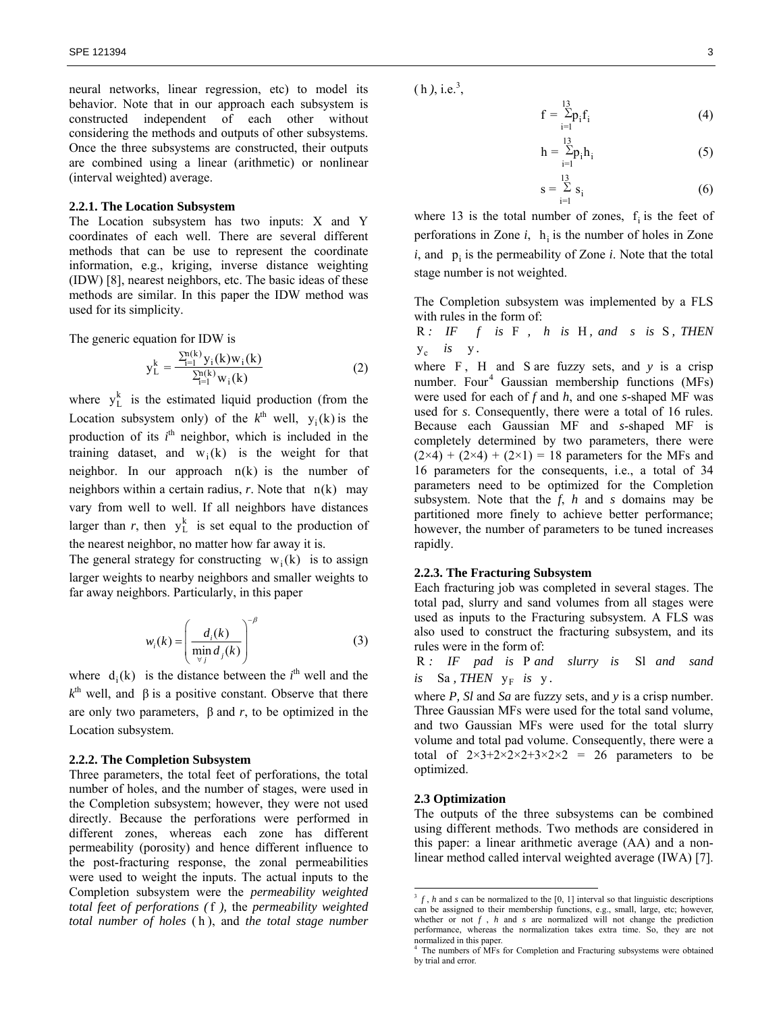neural networks, linear regression, etc) to model its behavior. Note that in our approach each subsystem is constructed independent of each other without considering the methods and outputs of other subsystems. Once the three subsystems are constructed, their outputs are combined using a linear (arithmetic) or nonlinear (interval weighted) average.

#### **2.2.1. The Location Subsystem**

The Location subsystem has two inputs: X and Y coordinates of each well. There are several different methods that can be use to represent the coordinate information, e.g., kriging, inverse distance weighting (IDW) [8], nearest neighbors, etc. The basic ideas of these methods are similar. In this paper the IDW method was used for its simplicity.

The generic equation for IDW is

$$
y_{L}^{k} = \frac{\sum_{i=1}^{n(k)} y_{i}(k) w_{i}(k)}{\sum_{i=1}^{n(k)} w_{i}(k)}
$$
(2)

where  $y_L^k$  is the estimated liquid production (from the Location subsystem only) of the  $k^{\text{th}}$  well,  $y_i(k)$  is the production of its  $i<sup>th</sup>$  neighbor, which is included in the training dataset, and  $w_i(k)$  is the weight for that neighbor. In our approach  $n(k)$  is the number of neighbors within a certain radius, *r*. Note that n(k) may vary from well to well. If all neighbors have distances larger than  $r$ , then  $y_L^k$  is set equal to the production of the nearest neighbor, no matter how far away it is.

The general strategy for constructing  $w_i(k)$  is to assign larger weights to nearby neighbors and smaller weights to far away neighbors. Particularly, in this paper

$$
w_i(k) = \left(\frac{d_i(k)}{\min_{\forall j} d_j(k)}\right)^{-\beta}
$$
 (3)

where  $d_i(k)$  is the distance between the  $i<sup>th</sup>$  well and the  $k^{\text{th}}$  well, and  $\beta$  is a positive constant. Observe that there are only two parameters,  $β$  and  $r$ , to be optimized in the Location subsystem.

#### **2.2.2. The Completion Subsystem**

Three parameters, the total feet of perforations, the total number of holes, and the number of stages, were used in the Completion subsystem; however, they were not used directly. Because the perforations were performed in different zones, whereas each zone has different permeability (porosity) and hence different influence to the post-fracturing response, the zonal permeabilities were used to weight the inputs. The actual inputs to the Completion subsystem were the *permeability weighted total feet of perforations (*f *),* the *permeability weighted total number of holes* ( h ), and *the total stage number*  $(h), i.e.<sup>3</sup>$ ,

$$
f = \sum_{i=1}^{13} p_i f_i
$$
 (4)

$$
h = \sum_{i=1}^{13} p_i h_i
$$
 (5)

$$
\mathbf{s} = \sum_{i=1}^{13} \mathbf{s}_i \tag{6}
$$

where 13 is the total number of zones,  $f_i$  is the feet of perforations in Zone  $i$ ,  $h_i$  is the number of holes in Zone  $i$ , and  $\mathbf{p}_i$  is the permeability of Zone  $i$ . Note that the total stage number is not weighted.

The Completion subsystem was implemented by a FLS with rules in the form of:

R *: IF f is* F *, h is* H *, and s is* S *, THEN*   $y_c$  *is*  $y$ .

where  $F$ ,  $H$  and  $S$  are fuzzy sets, and  $y$  is a crisp number. Four<sup>4</sup> Gaussian membership functions (MFs) were used for each of *f* and *h*, and one *s-*shaped MF was used for *s*. Consequently, there were a total of 16 rules. Because each Gaussian MF and *s*-shaped MF is completely determined by two parameters, there were  $(2\times4) + (2\times4) + (2\times1) = 18$  parameters for the MFs and 16 parameters for the consequents, i.e., a total of 34 parameters need to be optimized for the Completion subsystem. Note that the *f*, *h* and *s* domains may be partitioned more finely to achieve better performance; however, the number of parameters to be tuned increases rapidly.

## **2.2.3. The Fracturing Subsystem**

Each fracturing job was completed in several stages. The total pad, slurry and sand volumes from all stages were used as inputs to the Fracturing subsystem. A FLS was also used to construct the fracturing subsystem, and its rules were in the form of:

R *: IF pad is* P *and slurry is* Sl *and sand*  $is$  Sa, THEN  $y_F$  is y.

where *P, Sl* and *Sa* are fuzzy sets, and *y* is a crisp number. Three Gaussian MFs were used for the total sand volume, and two Gaussian MFs were used for the total slurry volume and total pad volume. Consequently, there were a total of  $2\times3+2\times2\times2+3\times2\times2 = 26$  parameters to be optimized.

## **2.3 Optimization**

 $\overline{\phantom{a}}$ 

The outputs of the three subsystems can be combined using different methods. Two methods are considered in this paper: a linear arithmetic average (AA) and a nonlinear method called interval weighted average (IWA) [7].

 $3 f$ , *h* and *s* can be normalized to the [0, 1] interval so that linguistic descriptions can be assigned to their membership functions, e.g., small, large, etc; however, whether or not *f* , *h* and *s* are normalized will not change the prediction performance, whereas the normalization takes extra time. So, they are not normalized in this paper.<br><sup>4</sup> The numbers of MFs for Completion and Fracturing subsystems were obtained

by trial and error.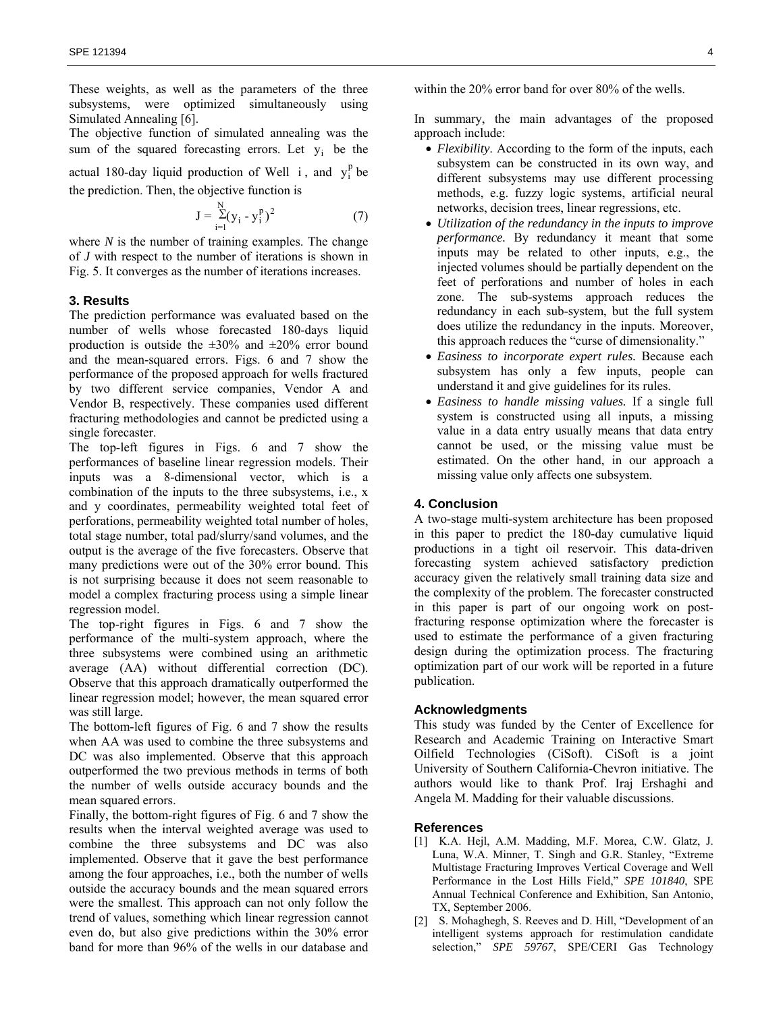These weights, as well as the parameters of the three subsystems, were optimized simultaneously using Simulated Annealing [6].

The objective function of simulated annealing was the sum of the squared forecasting errors. Let  $y_i$  be the

actual 180-day liquid production of Well i, and  $y_i^p$  be the prediction. Then, the objective function is

$$
J = \sum_{i=1}^{N} (y_i - y_i^p)^2
$$
 (7)

where *N* is the number of training examples. The change of *J* with respect to the number of iterations is shown in Fig. 5. It converges as the number of iterations increases.

## **3. Results**

The prediction performance was evaluated based on the number of wells whose forecasted 180-days liquid production is outside the  $\pm 30\%$  and  $\pm 20\%$  error bound and the mean-squared errors. Figs. 6 and 7 show the performance of the proposed approach for wells fractured by two different service companies, Vendor A and Vendor B, respectively. These companies used different fracturing methodologies and cannot be predicted using a single forecaster.

The top-left figures in Figs. 6 and 7 show the performances of baseline linear regression models. Their inputs was a 8-dimensional vector, which is a combination of the inputs to the three subsystems, i.e., x and y coordinates, permeability weighted total feet of perforations, permeability weighted total number of holes, total stage number, total pad/slurry/sand volumes, and the output is the average of the five forecasters. Observe that many predictions were out of the 30% error bound. This is not surprising because it does not seem reasonable to model a complex fracturing process using a simple linear regression model.

The top-right figures in Figs. 6 and 7 show the performance of the multi-system approach, where the three subsystems were combined using an arithmetic average (AA) without differential correction (DC). Observe that this approach dramatically outperformed the linear regression model; however, the mean squared error was still large.

The bottom-left figures of Fig. 6 and 7 show the results when AA was used to combine the three subsystems and DC was also implemented. Observe that this approach outperformed the two previous methods in terms of both the number of wells outside accuracy bounds and the mean squared errors.

Finally, the bottom-right figures of Fig. 6 and 7 show the results when the interval weighted average was used to combine the three subsystems and DC was also implemented. Observe that it gave the best performance among the four approaches, i.e., both the number of wells outside the accuracy bounds and the mean squared errors were the smallest. This approach can not only follow the trend of values, something which linear regression cannot even do, but also give predictions within the 30% error band for more than 96% of the wells in our database and within the 20% error band for over 80% of the wells.

In summary, the main advantages of the proposed approach include:

- *Flexibility*. According to the form of the inputs, each subsystem can be constructed in its own way, and different subsystems may use different processing methods, e.g. fuzzy logic systems, artificial neural networks, decision trees, linear regressions, etc.
- *Utilization of the redundancy in the inputs to improve performance.* By redundancy it meant that some inputs may be related to other inputs, e.g., the injected volumes should be partially dependent on the feet of perforations and number of holes in each zone. The sub-systems approach reduces the redundancy in each sub-system, but the full system does utilize the redundancy in the inputs. Moreover, this approach reduces the "curse of dimensionality."
- *Easiness to incorporate expert rules.* Because each subsystem has only a few inputs, people can understand it and give guidelines for its rules.
- *Easiness to handle missing values.* If a single full system is constructed using all inputs, a missing value in a data entry usually means that data entry cannot be used, or the missing value must be estimated. On the other hand, in our approach a missing value only affects one subsystem.

### **4. Conclusion**

A two-stage multi-system architecture has been proposed in this paper to predict the 180-day cumulative liquid productions in a tight oil reservoir. This data-driven forecasting system achieved satisfactory prediction accuracy given the relatively small training data size and the complexity of the problem. The forecaster constructed in this paper is part of our ongoing work on postfracturing response optimization where the forecaster is used to estimate the performance of a given fracturing design during the optimization process. The fracturing optimization part of our work will be reported in a future publication.

### **Acknowledgments**

This study was funded by the Center of Excellence for Research and Academic Training on Interactive Smart Oilfield Technologies (CiSoft). CiSoft is a joint University of Southern California-Chevron initiative. The authors would like to thank Prof. Iraj Ershaghi and Angela M. Madding for their valuable discussions.

## **References**

- [1] K.A. Hejl, A.M. Madding, M.F. Morea, C.W. Glatz, J. Luna, W.A. Minner, T. Singh and G.R. Stanley, "Extreme Multistage Fracturing Improves Vertical Coverage and Well Performance in the Lost Hills Field," *SPE 101840*, SPE Annual Technical Conference and Exhibition, San Antonio, TX, September 2006.
- [2] S. Mohaghegh, S. Reeves and D. Hill, "Development of an intelligent systems approach for restimulation candidate selection," *SPE 59767*, SPE/CERI Gas Technology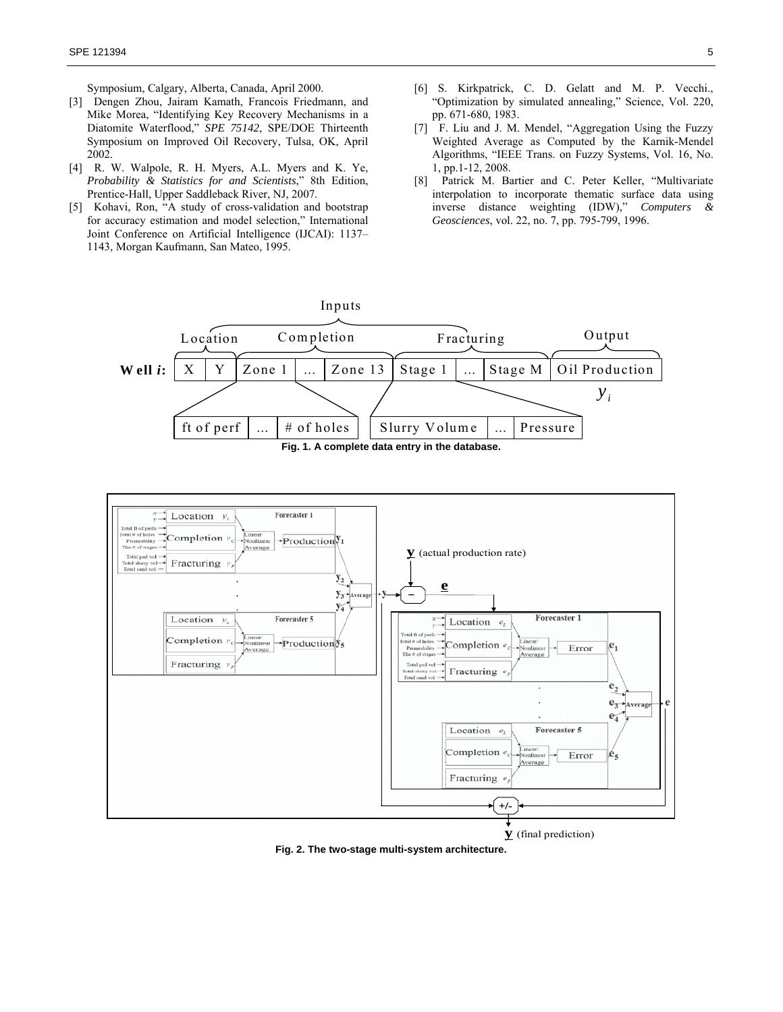Symposium, Calgary, Alberta, Canada, April 2000.

- [3] Dengen Zhou, Jairam Kamath, Francois Friedmann, and Mike Morea, "Identifying Key Recovery Mechanisms in a Diatomite Waterflood," *SPE 75142*, SPE/DOE Thirteenth Symposium on Improved Oil Recovery, Tulsa, OK, April 2002.
- [4] R. W. Walpole, R. H. Myers, A.L. Myers and K. Ye, *Probability & Statistics for and Scientists*," 8th Edition, Prentice-Hall, Upper Saddleback River, NJ, 2007.
- [5] Kohavi, Ron, "A study of cross-validation and bootstrap for accuracy estimation and model selection," International Joint Conference on Artificial Intelligence (IJCAI): 1137– 1143, Morgan Kaufmann, San Mateo, 1995.
- [6] S. Kirkpatrick, C. D. Gelatt and M. P. Vecchi., "Optimization by simulated annealing," Science, Vol. 220, pp. 671-680, 1983.
- [7] F. Liu and J. M. Mendel, "Aggregation Using the Fuzzy Weighted Average as Computed by the Karnik-Mendel Algorithms, "IEEE Trans. on Fuzzy Systems, Vol. 16, No. 1, pp.1-12, 2008.
- [8] Patrick M. Bartier and C. Peter Keller, "Multivariate interpolation to incorporate thematic surface data using inverse distance weighting (IDW)," *Computers & Geosciences*, vol. 22, no. 7, pp. 795-799, 1996.





**y** (final prediction)

**Fig. 2. The two-stage multi-system architecture.**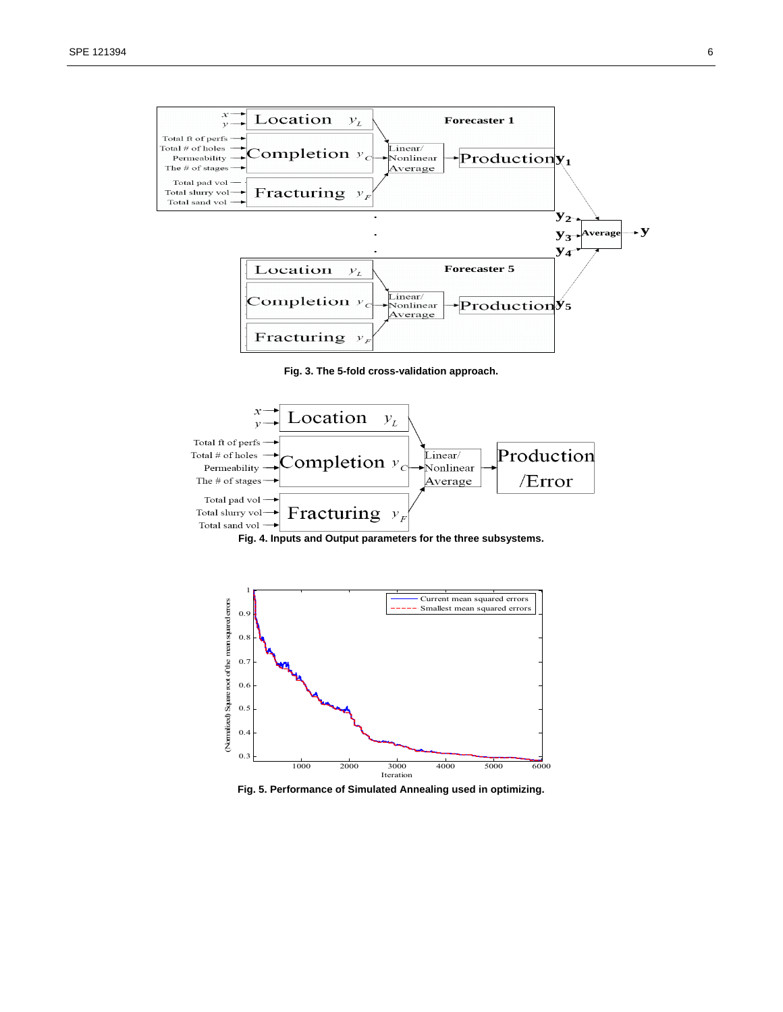









**Fig. 5. Performance of Simulated Annealing used in optimizing.**